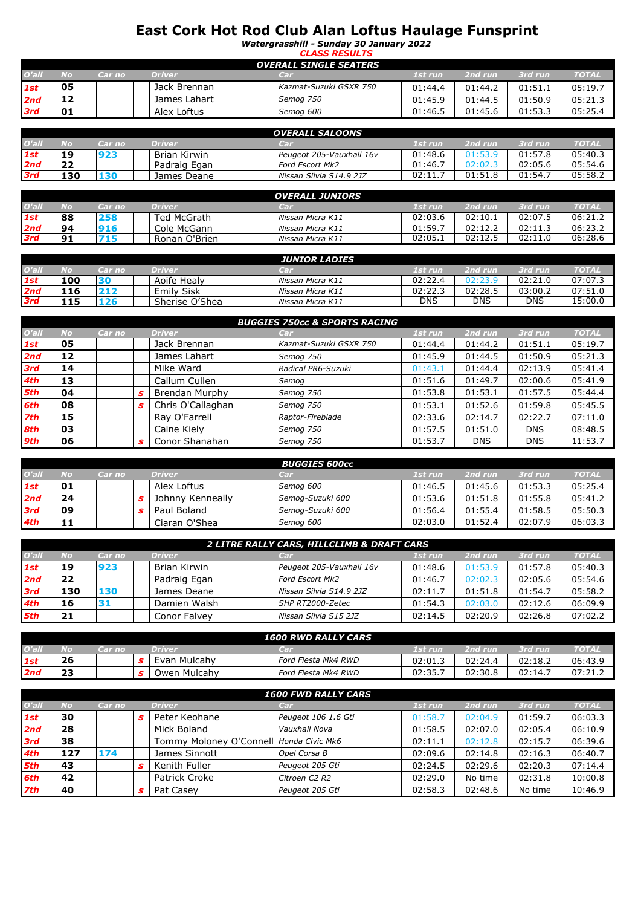## **East Cork Hot Rod Club Alan Loftus Haulage Funsprint**

*Watergrasshill - Sunday 30 January 2022*

|            |                               |        |              | <b>CLASS RESULTS</b>   |         |         |         |              |  |  |  |  |
|------------|-------------------------------|--------|--------------|------------------------|---------|---------|---------|--------------|--|--|--|--|
|            | <b>OVERALL SINGLE SEATERS</b> |        |              |                        |         |         |         |              |  |  |  |  |
| O'all      | No                            | Car no | Driver       | Car                    | 1st run | 2nd run | 3rd run | <b>TOTAL</b> |  |  |  |  |
| 1st        | 05                            |        | Jack Brennan | Kazmat-Suzuki GSXR 750 | 01:44.4 | 01:44.2 | 01:51.1 | 05:19.7      |  |  |  |  |
| 2nd        | 12                            |        | James Lahart | Semog 750              | 01:45.9 | 01:44.5 | 01:50.9 | 05:21.3      |  |  |  |  |
| <b>3rd</b> | 01                            |        | Alex Loftus  | Semog 600              | 01:46.5 | 01:45.6 | 01:53.3 | 05:25.4      |  |  |  |  |

|       |            |        |              | <b>OVERALL SALOONS</b>   |         |         |         |              |
|-------|------------|--------|--------------|--------------------------|---------|---------|---------|--------------|
| O'all | No         | Car no | Driver       | Car                      | 1st run | 2nd run | 3rd run | <b>TOTAL</b> |
| 1st   | 19         | 923    | Brian Kirwin | Peugeot 205-Vauxhall 16v | 01:48.6 | 01:53.9 | 01:57.8 | 05:40.3      |
| 2nd   | 22         |        | Padraig Egan | <b>Ford Escort Mk2</b>   | 01:46.7 | 02:02.3 | 02:05.6 | 05:54.6      |
| 3rd   | <b>130</b> | 130    | James Deane  | Nissan Silvia S14.9 2JZ  | 02:11.  | 01:51.8 | 01:54.7 | 05:58.2      |
|       |            |        |              |                          |         |         |         |              |

|            |    |        |               | <b>OVERALL JUNIORS</b> |         |         |         |              |
|------------|----|--------|---------------|------------------------|---------|---------|---------|--------------|
| O'all      | No | Car no | Driver        | Car                    | 1st run | 2nd run | 3rd run | <b>TOTAL</b> |
| 1st        | 88 | 258    | Ted McGrath   | Nissan Micra K11       | 02:03.6 | 02:10.1 | 02:07.5 | 06:21.2      |
| 2nd        | 94 | 916    | Cole McGann   | Nissan Micra K11       | 01:59.7 | 02:12.2 | 02:11.3 | 06:23.2      |
| <b>3rd</b> | 91 | 715    | Ronan O'Brien | Nissan Micra K11       | 02:05.1 | 02:12.5 | 02:11.0 | 06:28.6      |

|       |     |        |                   | <b>JUNIOR LADIES</b> |         |            |         |             |
|-------|-----|--------|-------------------|----------------------|---------|------------|---------|-------------|
| O'all | No  | Car no | <b>Driver</b>     | OF TI                | 1st run | 2nd run    | 3rd run | <b>TOTA</b> |
| 1st   | 100 |        | Aoife Healv       | Nissan Micra K11     | 02:22.4 |            | 02:21.0 | 07:07.      |
| 2nd   | 116 | 212    | <b>Emily Sisk</b> | Nissan Micra K11     | 02:22.3 | 02:28.5    | 03:00.2 | 07:51.0     |
| 3rd   | 115 | 126    | Sherise O'Shea    | Nissan Micra K11     | DNS     | <b>DNS</b> | DNS     | 15:00.0     |

|          |     |        |   |                   | <b>BUGGIES 750cc &amp; SPORTS RACING</b> |         |            |            |              |
|----------|-----|--------|---|-------------------|------------------------------------------|---------|------------|------------|--------------|
| $O'$ all | No  | Car no |   | <b>Driver</b>     | Car                                      | 1st run | 2nd run    | 3rd run    | <b>TOTAL</b> |
| 1st      | 05  |        |   | Jack Brennan      | Kazmat-Suzuki GSXR 750                   | 01:44.4 | 01:44.2    | 01:51.1    | 05:19.7      |
| 2nd      | 12  |        |   | James Lahart      | Semog 750                                | 01:45.9 | 01:44.5    | 01:50.9    | 05:21.3      |
| 3rd      | 14  |        |   | Mike Ward         | Radical PR6-Suzuki                       | 01:43.1 | 01:44.4    | 02:13.9    | 05:41.4      |
| 4th      | 13  |        |   | Callum Cullen     | Semog                                    | 01:51.6 | 01:49.7    | 02:00.6    | 05:41.9      |
| 5th      | l04 |        |   | Brendan Murphy    | Semog 750                                | 01:53.8 | 01:53.1    | 01:57.5    | 05:44.4      |
| 6th      | 08  |        | s | Chris O'Callaghan | Semog 750                                | 01:53.1 | 01:52.6    | 01:59.8    | 05:45.5      |
| 7th      | 15  |        |   | Ray O'Farrell     | Raptor-Fireblade                         | 02:33.6 | 02:14.7    | 02:22.7    | 07:11.0      |
| 8th      | 03  |        |   | Caine Kiely       | Semog 750                                | 01:57.5 | 01:51.0    | <b>DNS</b> | 08:48.5      |
| 9th      | 06  |        | s | Conor Shanahan    | Semog 750                                | 01:53.7 | <b>DNS</b> | <b>DNS</b> | 11:53.7      |

|       |    |        |                  | <b>BUGGIES 600cc</b> |         |         |         |              |
|-------|----|--------|------------------|----------------------|---------|---------|---------|--------------|
| O'all | No | Car no | <b>Driver</b>    | CET                  | 1st run | 2nd run | 3rd run | <b>TOTAL</b> |
| 1st   | 01 |        | Alex Loftus      | Semog 600            | 01:46.5 | 01:45.6 | 01:53.3 | 05:25.4      |
| 2nd   | 24 |        | Johnny Kenneally | Semog-Suzuki 600     | 01:53.6 | 01:51.8 | 01:55.8 | 05:41.2      |
| 3rd   | 09 |        | Paul Boland      | Semog-Suzuki 600     | 01:56.4 | 01:55.4 | 01:58.5 | 05:50.3      |
| 4th   |    |        | Ciaran O'Shea    | Semog 600            | 02:03.0 | 01:52.4 | 02:07.9 | 06:03.3      |

|          | 2 LITRE RALLY CARS, HILLCLIMB & DRAFT CARS |        |               |                          |         |         |         |              |  |  |  |  |
|----------|--------------------------------------------|--------|---------------|--------------------------|---------|---------|---------|--------------|--|--|--|--|
| $O'$ all | No                                         | Car no | <b>Driver</b> | Car                      | 1st run | 2nd run | 3rd run | <b>TOTAL</b> |  |  |  |  |
| 1st      | 19                                         | 923    | Brian Kirwin  | Peugeot 205-Vauxhall 16v | 01:48.6 | 01:53.9 | 01:57.8 | 05:40.3      |  |  |  |  |
| 2nd      | 22                                         |        | Padraig Egan  | <b>Ford Escort Mk2</b>   | 01:46.7 | 02:02.3 | 02:05.6 | 05:54.6      |  |  |  |  |
| 3rd      | <b>L30</b>                                 | 130    | James Deane   | Nissan Silvia S14.9 2JZ  | 02:11.7 | 01:51.8 | 01:54.7 | 05:58.2      |  |  |  |  |
| 4th      | 16                                         | 31     | Damien Walsh  | SHP RT2000-Zetec         | 01:54.3 | 02:03.0 | 02:12.6 | 06:09.9      |  |  |  |  |
| 5th      | 21                                         |        | Conor Falvey  | Nissan Silvia S15 2JZ    | 02:14.5 | 02:20.9 | 02:26.8 | 07:02.2      |  |  |  |  |
|          |                                            |        |               |                          |         |         |         |              |  |  |  |  |

|       |    |        |              | <b>1600 RWD RALLY CARS</b> |         |         |         |              |
|-------|----|--------|--------------|----------------------------|---------|---------|---------|--------------|
| O'all | No | Car no | Driven       | ाना                        | 1st run | 2nd run | 3rd run | <b>TOTAL</b> |
| 1st   | 26 |        | Evan Mulcahy | Ford Fiesta Mk4 RWD        | 02:01.1 | 02:24.4 | 02:18.2 | 06:43.9      |
| 2nd   | -- |        | Owen Mulcahy | Ford Fiesta Mk4 RWD        | 02:35.  | 02:30.8 | 02:14.7 | 07:21.2      |

| <b>1600 FWD RALLY CARS</b> |           |        |   |                                         |                     |         |         |         |              |  |
|----------------------------|-----------|--------|---|-----------------------------------------|---------------------|---------|---------|---------|--------------|--|
| O'all                      | <b>No</b> | Car no |   | <b>Driver</b>                           | Car                 | 1st run | 2nd run | 3rd run | <b>TOTAL</b> |  |
| 1st                        | 30        |        | s | Peter Keohane                           | Peugeot 106 1.6 Gti | 01:58.7 | 02:04.9 | 01:59.7 | 06:03.3      |  |
| 2nd                        | 28        |        |   | Mick Boland                             | Vauxhall Nova       | 01:58.5 | 02:07.0 | 02:05.4 | 06:10.9      |  |
| 3rd                        | 38        |        |   | Tommy Moloney O'Connell Honda Civic Mk6 |                     | 02:11.1 | 02:12.8 | 02:15.7 | 06:39.6      |  |
| 4th                        | 127       | 174    |   | James Sinnott                           | Opel Corsa B        | 02:09.6 | 02:14.8 | 02:16.3 | 06:40.7      |  |
| 5th                        | 43        |        | s | Kenith Fuller                           | Peugeot 205 Gti     | 02:24.5 | 02:29.6 | 02:20.3 | 07:14.4      |  |
| 6th                        | 42        |        |   | Patrick Croke                           | Citroen C2 R2       | 02:29.0 | No time | 02:31.8 | 10:00.8      |  |
| 7th                        | 40        |        | s | Pat Casey                               | Peugeot 205 Gti     | 02:58.3 | 02:48.6 | No time | 10:46.9      |  |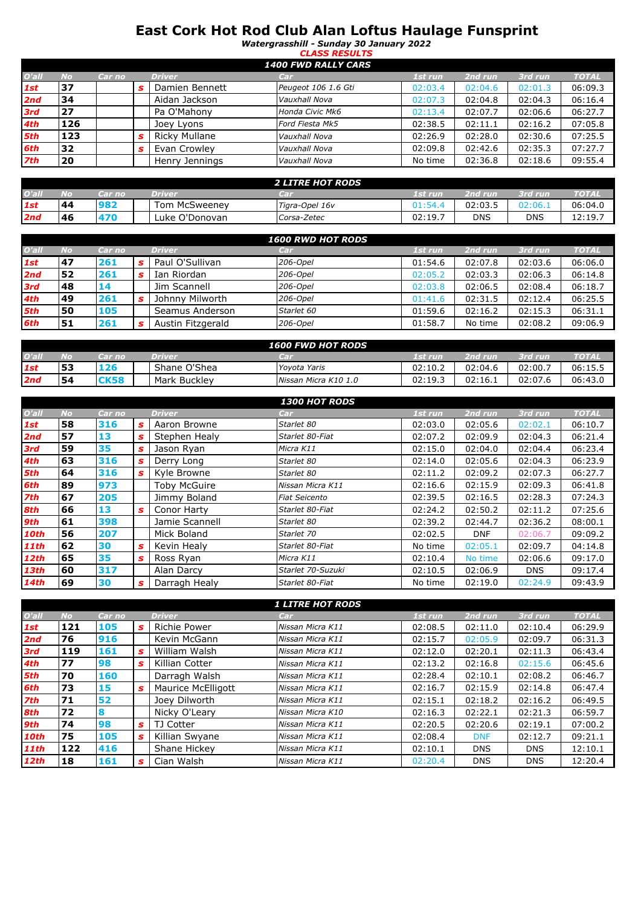## **East Cork Hot Rod Club Alan Loftus Haulage Funsprint**

*Watergrasshill - Sunday 30 January 2022 CLASS RESULTS*

| <b>1400 FWD RALLY CARS</b> |           |        |  |                      |                        |         |         |         |              |  |  |
|----------------------------|-----------|--------|--|----------------------|------------------------|---------|---------|---------|--------------|--|--|
| $O'$ all                   | <b>No</b> | Car no |  | <b>Driver</b>        | Car                    | 1st run | 2nd run | 3rd run | <b>TOTAL</b> |  |  |
| 1st                        | 37        |        |  | Damien Bennett       | Peugeot 106 1.6 Gti    | 02:03.4 | 02:04.6 | 02:01.3 | 06:09.3      |  |  |
| 2nd                        | 34        |        |  | Aidan Jackson        | Vauxhall Nova          | 02:07.3 | 02:04.8 | 02:04.3 | 06:16.4      |  |  |
| <b>3rd</b>                 | 27        |        |  | Pa O'Mahony          | Honda Civic Mk6        | 02:13.4 | 02:07.7 | 02:06.6 | 06:27.7      |  |  |
| 4th                        | 126       |        |  | Joey Lyons           | <b>Ford Fiesta Mk5</b> | 02:38.5 | 02:11.1 | 02:16.2 | 07:05.8      |  |  |
| 5th                        | 123       |        |  | <b>Ricky Mullane</b> | Vauxhall Nova          | 02:26.9 | 02:28.0 | 02:30.6 | 07:25.5      |  |  |
| 6th                        | 32        |        |  | Evan Crowley         | Vauxhall Nova          | 02:09.8 | 02:42.6 | 02:35.3 | 07:27.7      |  |  |
| <b>7th</b>                 | 20        |        |  | Henry Jennings       | Vauxhall Nova          | No time | 02:36.8 | 02:18.6 | 09:55.4      |  |  |

|       |    |        |                      | <b>2 LITRE HOT RODS</b> |         |            |            |              |
|-------|----|--------|----------------------|-------------------------|---------|------------|------------|--------------|
| O'all | No | Car no | <b>Driven</b>        | CET.                    | 1st run | 2nd run    | 3rd run    | <b>TOTAL</b> |
| 1st   | 44 | 982    | <b>Tom McSweenev</b> | Tigra-Opel 16v          | 01:54.  | 02:03.5    | 72:06.1    | 06:04.0      |
| 2na   | 46 | 170    | Luke O'Donovan       | Corsa-Zetec             | 02:19.  | <b>DNS</b> | <b>DNS</b> | 12:19.       |

|       |    |        |   |                   | <b>1600 RWD HOT RODS</b> |         |         |         |              |
|-------|----|--------|---|-------------------|--------------------------|---------|---------|---------|--------------|
| O'all | No | Car no |   | Driver            | Carl                     | 1st run | 2nd run | 3rd run | <b>TOTAL</b> |
| 1st   | 47 | 261    |   | Paul O'Sullivan   | 206-Opel                 | 01:54.6 | 02:07.8 | 02:03.6 | 06:06.0      |
| 2nd   | 52 | 261    |   | Ian Riordan       | 206-Opel                 | 02:05.2 | 02:03.3 | 02:06.3 | 06:14.8      |
| 3rd   | 48 | 14     |   | Jim Scannell      | 206-Opel                 | 02:03.8 | 02:06.5 | 02:08.4 | 06:18.7      |
| 4th   | 49 | 261    | s | Johnny Milworth   | 206-Opel                 | 01:41.6 | 02:31.5 | 02:12.4 | 06:25.5      |
| 5th   | 50 | 105    |   | Seamus Anderson   | Starlet 60               | 01:59.6 | 02:16.2 | 02:15.3 | 06:31.1      |
| 6th   | 51 | 261    | s | Austin Fitzgerald | 206-Opel                 | 01:58.7 | No time | 02:08.2 | 09:06.9      |

| <b>1600 FWD HOT RODS</b> |    |             |               |                      |         |         |         |              |
|--------------------------|----|-------------|---------------|----------------------|---------|---------|---------|--------------|
| O'all                    | Mо | Car no      | <b>Driver</b> | ाना                  | 1st run | 2nd run | 3rd run | <b>TOTAL</b> |
| 1st                      | 53 | 126         | Shane O'Shea  | Yovota Yaris         | 02:10.2 | 02:04.6 | 02:00.7 | 06:15.5      |
| 2nd                      | 54 | <b>CK58</b> | Mark Buckley  | Nissan Micra K10 1.0 | 02:19.3 | 02:16.  | 02:07.6 | 06:43.0      |

|             |           |        |    |                | <b>1300 HOT RODS</b> |         |            |            |              |
|-------------|-----------|--------|----|----------------|----------------------|---------|------------|------------|--------------|
| O'all       | <b>No</b> | Car no |    | <b>Driver</b>  | Car                  | 1st run | 2nd run    | 3rd run    | <b>TOTAL</b> |
| 1st         | 58        | 316    | s. | Aaron Browne   | Starlet 80           | 02:03.0 | 02:05.6    | 02:02.1    | 06:10.7      |
| 2nd         | 57        | 13     | s  | Stephen Healy  | Starlet 80-Fiat      | 02:07.2 | 02:09.9    | 02:04.3    | 06:21.4      |
| 3rd         | 59        | 35     | s. | Jason Ryan     | Micra K11            | 02:15.0 | 02:04.0    | 02:04.4    | 06:23.4      |
| 4th         | 63        | 316    | s  | Derry Long     | Starlet 80           | 02:14.0 | 02:05.6    | 02:04.3    | 06:23.9      |
| 5th         | 64        | 316    | s. | Kyle Browne    | Starlet 80           | 02:11.2 | 02:09.2    | 02:07.3    | 06:27.7      |
| 6th         | 89        | 973    |    | Toby McGuire   | Nissan Micra K11     | 02:16.6 | 02:15.9    | 02:09.3    | 06:41.8      |
| 7th         | 67        | 205    |    | Jimmy Boland   | <b>Fiat Seicento</b> | 02:39.5 | 02:16.5    | 02:28.3    | 07:24.3      |
| 8th         | 66        | 13     | s. | Conor Harty    | Starlet 80-Fiat      | 02:24.2 | 02:50.2    | 02:11.2    | 07:25.6      |
| 9th         | 61        | 398    |    | Jamie Scannell | Starlet 80           | 02:39.2 | 02:44.7    | 02:36.2    | 08:00.1      |
| <b>10th</b> | 56        | 207    |    | Mick Boland    | Starlet 70           | 02:02.5 | <b>DNF</b> | 02:06.7    | 09:09.2      |
| <b>11th</b> | 62        | 30     | s. | Kevin Healy    | Starlet 80-Fiat      | No time | 02:05.1    | 02:09.7    | 04:14.8      |
| <b>12th</b> | 65        | 35     | s. | Ross Ryan      | Micra K11            | 02:10.4 | No time    | 02:06.6    | 09:17.0      |
| <b>13th</b> | 60        | 317    |    | Alan Darcy     | Starlet 70-Suzuki    | 02:10.5 | 02:06.9    | <b>DNS</b> | 09:17.4      |
| <b>14th</b> | 69        | 30     | s  | Darragh Healy  | Starlet 80-Fiat      | No time | 02:19.0    | 02:24.9    | 09:43.9      |

|       |           |        |    |                    | <b>1 LITRE HOT RODS</b> |         |            |            |              |
|-------|-----------|--------|----|--------------------|-------------------------|---------|------------|------------|--------------|
| O'all | <b>No</b> | Car no |    | <b>Driver</b>      | Car                     | 1st run | 2nd run    | 3rd run    | <b>TOTAL</b> |
| 1st   | 121       | 105    | s  | Richie Power       | Nissan Micra K11        | 02:08.5 | 02:11.0    | 02:10.4    | 06:29.9      |
| 2nd   | 76        | 916    |    | Kevin McGann       | Nissan Micra K11        | 02:15.7 | 02:05.9    | 02:09.7    | 06:31.3      |
| 3rd   | 119       | 161    | s  | William Walsh      | Nissan Micra K11        | 02:12.0 | 02:20.1    | 02:11.3    | 06:43.4      |
| 4th   | 77        | 98     | s  | Killian Cotter     | Nissan Micra K11        | 02:13.2 | 02:16.8    | 02:15.6    | 06:45.6      |
| 5th   | 70        | 160    |    | Darragh Walsh      | Nissan Micra K11        | 02:28.4 | 02:10.1    | 02:08.2    | 06:46.7      |
| 6th   | 73        | 15     | s  | Maurice McElligott | Nissan Micra K11        | 02:16.7 | 02:15.9    | 02:14.8    | 06:47.4      |
| 7th   | 71        | 52     |    | Joey Dilworth      | Nissan Micra K11        | 02:15.1 | 02:18.2    | 02:16.2    | 06:49.5      |
| 8th   | 72        | 8      |    | Nicky O'Leary      | Nissan Micra K10        | 02:16.3 | 02:22.1    | 02:21.3    | 06:59.7      |
| 9th   | 74        | 98     | s  | TJ Cotter          | Nissan Micra K11        | 02:20.5 | 02:20.6    | 02:19.1    | 07:00.2      |
| 10th  | 75        | 105    | s. | Killian Swyane     | Nissan Micra K11        | 02:08.4 | <b>DNF</b> | 02:12.7    | 09:21.1      |
| 11th  | 122       | 416    |    | Shane Hickey       | Nissan Micra K11        | 02:10.1 | <b>DNS</b> | <b>DNS</b> | 12:10.1      |
| 12th  | 18        | 161    | s  | Cian Walsh         | Nissan Micra K11        | 02:20.4 | <b>DNS</b> | <b>DNS</b> | 12:20.4      |